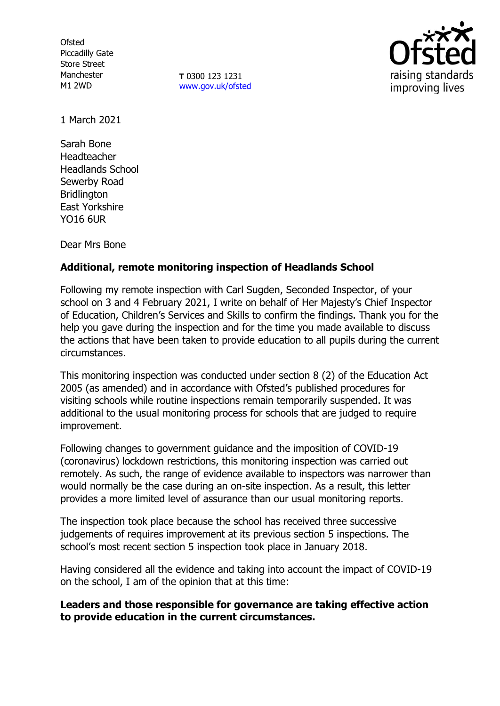**Ofsted** Piccadilly Gate Store Street Manchester M1 2WD

**T** 0300 123 1231 [www.gov.uk/ofsted](http://www.gov.uk/ofsted)



1 March 2021

Sarah Bone Headteacher Headlands School Sewerby Road Bridlington East Yorkshire YO16 6UR

Dear Mrs Bone

## **Additional, remote monitoring inspection of Headlands School**

Following my remote inspection with Carl Sugden, Seconded Inspector, of your school on 3 and 4 February 2021, I write on behalf of Her Majesty's Chief Inspector of Education, Children's Services and Skills to confirm the findings. Thank you for the help you gave during the inspection and for the time you made available to discuss the actions that have been taken to provide education to all pupils during the current circumstances.

This monitoring inspection was conducted under section 8 (2) of the Education Act 2005 (as amended) and in accordance with Ofsted's published procedures for visiting schools while routine inspections remain temporarily suspended. It was additional to the usual monitoring process for schools that are judged to require improvement.

Following changes to government guidance and the imposition of COVID-19 (coronavirus) lockdown restrictions, this monitoring inspection was carried out remotely. As such, the range of evidence available to inspectors was narrower than would normally be the case during an on-site inspection. As a result, this letter provides a more limited level of assurance than our usual monitoring reports.

The inspection took place because the school has received three successive judgements of requires improvement at its previous section 5 inspections. The school's most recent section 5 inspection took place in January 2018.

Having considered all the evidence and taking into account the impact of COVID-19 on the school, I am of the opinion that at this time:

**Leaders and those responsible for governance are taking effective action to provide education in the current circumstances.**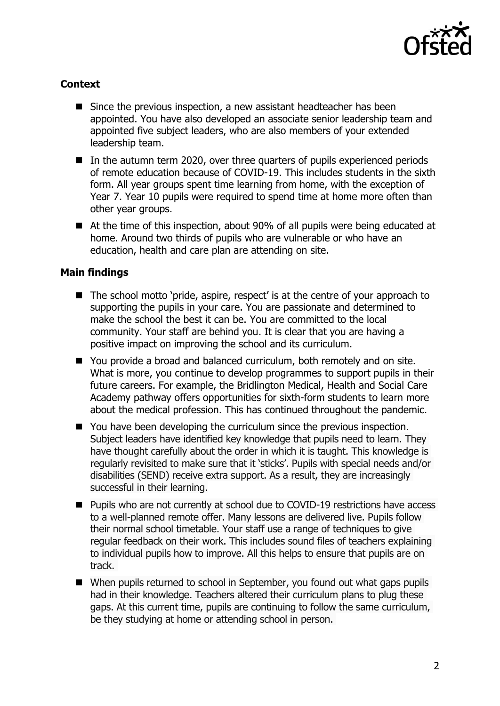

## **Context**

- Since the previous inspection, a new assistant headteacher has been appointed. You have also developed an associate senior leadership team and appointed five subject leaders, who are also members of your extended leadership team.
- In the autumn term 2020, over three quarters of pupils experienced periods of remote education because of COVID-19. This includes students in the sixth form. All year groups spent time learning from home, with the exception of Year 7. Year 10 pupils were required to spend time at home more often than other year groups.
- At the time of this inspection, about 90% of all pupils were being educated at home. Around two thirds of pupils who are vulnerable or who have an education, health and care plan are attending on site.

## **Main findings**

- The school motto 'pride, aspire, respect' is at the centre of your approach to supporting the pupils in your care. You are passionate and determined to make the school the best it can be. You are committed to the local community. Your staff are behind you. It is clear that you are having a positive impact on improving the school and its curriculum.
- You provide a broad and balanced curriculum, both remotely and on site. What is more, you continue to develop programmes to support pupils in their future careers. For example, the Bridlington Medical, Health and Social Care Academy pathway offers opportunities for sixth-form students to learn more about the medical profession. This has continued throughout the pandemic.
- You have been developing the curriculum since the previous inspection. Subject leaders have identified key knowledge that pupils need to learn. They have thought carefully about the order in which it is taught. This knowledge is regularly revisited to make sure that it 'sticks'. Pupils with special needs and/or disabilities (SEND) receive extra support. As a result, they are increasingly successful in their learning.
- Pupils who are not currently at school due to COVID-19 restrictions have access to a well-planned remote offer. Many lessons are delivered live. Pupils follow their normal school timetable. Your staff use a range of techniques to give regular feedback on their work. This includes sound files of teachers explaining to individual pupils how to improve. All this helps to ensure that pupils are on track.
- When pupils returned to school in September, you found out what gaps pupils had in their knowledge. Teachers altered their curriculum plans to plug these gaps. At this current time, pupils are continuing to follow the same curriculum, be they studying at home or attending school in person.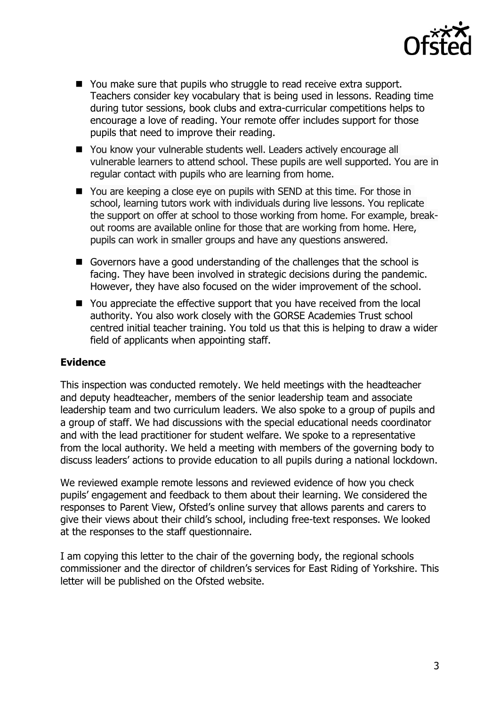

- You make sure that pupils who struggle to read receive extra support. Teachers consider key vocabulary that is being used in lessons. Reading time during tutor sessions, book clubs and extra-curricular competitions helps to encourage a love of reading. Your remote offer includes support for those pupils that need to improve their reading.
- You know your vulnerable students well. Leaders actively encourage all vulnerable learners to attend school. These pupils are well supported. You are in regular contact with pupils who are learning from home.
- You are keeping a close eye on pupils with SEND at this time. For those in school, learning tutors work with individuals during live lessons. You replicate the support on offer at school to those working from home. For example, breakout rooms are available online for those that are working from home. Here, pupils can work in smaller groups and have any questions answered.
- Governors have a good understanding of the challenges that the school is facing. They have been involved in strategic decisions during the pandemic. However, they have also focused on the wider improvement of the school.
- You appreciate the effective support that you have received from the local authority. You also work closely with the GORSE Academies Trust school centred initial teacher training. You told us that this is helping to draw a wider field of applicants when appointing staff.

## **Evidence**

This inspection was conducted remotely. We held meetings with the headteacher and deputy headteacher, members of the senior leadership team and associate leadership team and two curriculum leaders. We also spoke to a group of pupils and a group of staff. We had discussions with the special educational needs coordinator and with the lead practitioner for student welfare. We spoke to a representative from the local authority. We held a meeting with members of the governing body to discuss leaders' actions to provide education to all pupils during a national lockdown.

We reviewed example remote lessons and reviewed evidence of how you check pupils' engagement and feedback to them about their learning. We considered the responses to Parent View, Ofsted's online survey that allows parents and carers to give their views about their child's school, including free-text responses. We looked at the responses to the staff questionnaire.

I am copying this letter to the chair of the governing body, the regional schools commissioner and the director of children's services for East Riding of Yorkshire. This letter will be published on the Ofsted website.